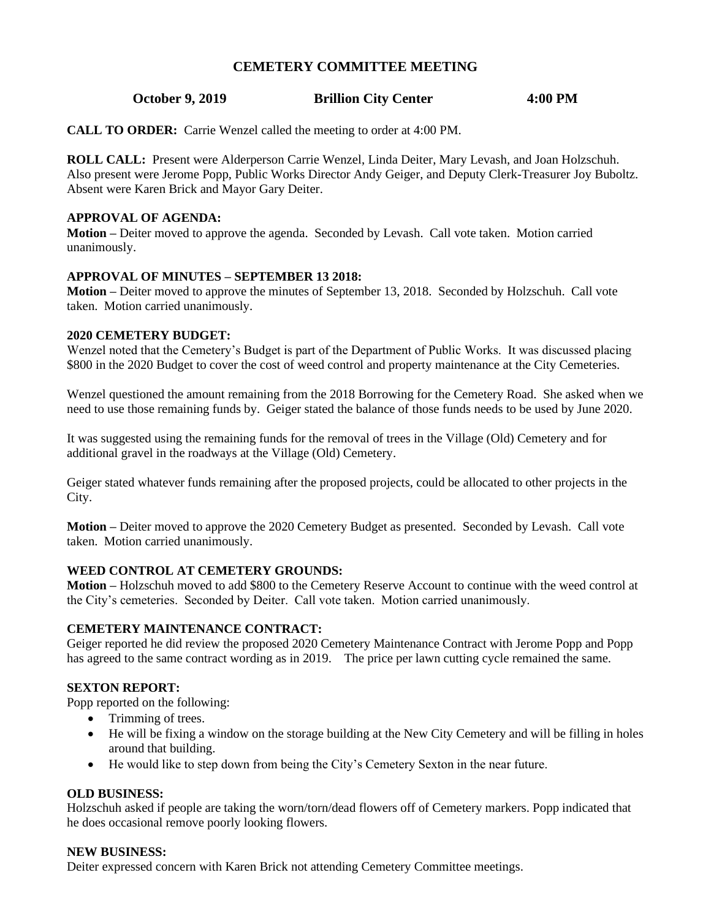# **CEMETERY COMMITTEE MEETING**

## **October 9, 2019 Brillion City Center 4:00 PM**

**CALL TO ORDER:** Carrie Wenzel called the meeting to order at 4:00 PM.

**ROLL CALL:** Present were Alderperson Carrie Wenzel, Linda Deiter, Mary Levash, and Joan Holzschuh. Also present were Jerome Popp, Public Works Director Andy Geiger, and Deputy Clerk-Treasurer Joy Buboltz. Absent were Karen Brick and Mayor Gary Deiter.

### **APPROVAL OF AGENDA:**

**Motion –** Deiter moved to approve the agenda. Seconded by Levash. Call vote taken. Motion carried unanimously.

### **APPROVAL OF MINUTES – SEPTEMBER 13 2018:**

**Motion –** Deiter moved to approve the minutes of September 13, 2018. Seconded by Holzschuh. Call vote taken. Motion carried unanimously.

### **2020 CEMETERY BUDGET:**

Wenzel noted that the Cemetery's Budget is part of the Department of Public Works. It was discussed placing \$800 in the 2020 Budget to cover the cost of weed control and property maintenance at the City Cemeteries.

Wenzel questioned the amount remaining from the 2018 Borrowing for the Cemetery Road. She asked when we need to use those remaining funds by. Geiger stated the balance of those funds needs to be used by June 2020.

It was suggested using the remaining funds for the removal of trees in the Village (Old) Cemetery and for additional gravel in the roadways at the Village (Old) Cemetery.

Geiger stated whatever funds remaining after the proposed projects, could be allocated to other projects in the City.

**Motion –** Deiter moved to approve the 2020 Cemetery Budget as presented. Seconded by Levash. Call vote taken. Motion carried unanimously.

### **WEED CONTROL AT CEMETERY GROUNDS:**

**Motion –** Holzschuh moved to add \$800 to the Cemetery Reserve Account to continue with the weed control at the City's cemeteries. Seconded by Deiter. Call vote taken. Motion carried unanimously.

### **CEMETERY MAINTENANCE CONTRACT:**

Geiger reported he did review the proposed 2020 Cemetery Maintenance Contract with Jerome Popp and Popp has agreed to the same contract wording as in 2019. The price per lawn cutting cycle remained the same.

#### **SEXTON REPORT:**

Popp reported on the following:

- Trimming of trees.
- He will be fixing a window on the storage building at the New City Cemetery and will be filling in holes around that building.
- He would like to step down from being the City's Cemetery Sexton in the near future.

### **OLD BUSINESS:**

Holzschuh asked if people are taking the worn/torn/dead flowers off of Cemetery markers. Popp indicated that he does occasional remove poorly looking flowers.

#### **NEW BUSINESS:**

Deiter expressed concern with Karen Brick not attending Cemetery Committee meetings.